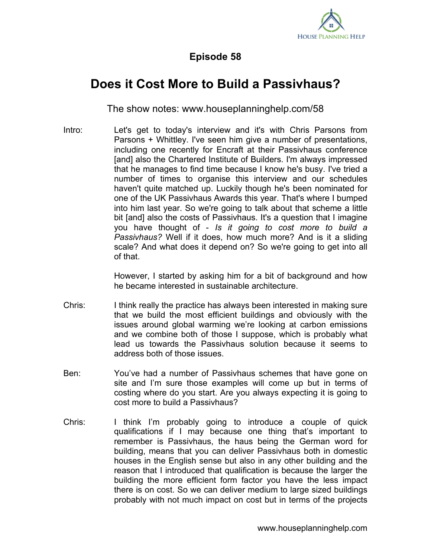

## **Episode 58**

## **Does it Cost More to Build a Passivhaus?**

The show notes: www.houseplanninghelp.com/58

Intro: Let's get to today's interview and it's with Chris Parsons from Parsons + Whittley. I've seen him give a number of presentations, including one recently for Encraft at their Passivhaus conference [and] also the Chartered Institute of Builders. I'm always impressed that he manages to find time because I know he's busy. I've tried a number of times to organise this interview and our schedules haven't quite matched up. Luckily though he's been nominated for one of the UK Passivhaus Awards this year. That's where I bumped into him last year. So we're going to talk about that scheme a little bit [and] also the costs of Passivhaus. It's a question that I imagine you have thought of - *Is it going to cost more to build a Passivhaus?* Well if it does, how much more? And is it a sliding scale? And what does it depend on? So we're going to get into all of that.

> However, I started by asking him for a bit of background and how he became interested in sustainable architecture.

- Chris: I think really the practice has always been interested in making sure that we build the most efficient buildings and obviously with the issues around global warming we're looking at carbon emissions and we combine both of those I suppose, which is probably what lead us towards the Passivhaus solution because it seems to address both of those issues.
- Ben: You've had a number of Passivhaus schemes that have gone on site and I'm sure those examples will come up but in terms of costing where do you start. Are you always expecting it is going to cost more to build a Passivhaus?
- Chris: I think I'm probably going to introduce a couple of quick qualifications if I may because one thing that's important to remember is Passivhaus, the haus being the German word for building, means that you can deliver Passivhaus both in domestic houses in the English sense but also in any other building and the reason that I introduced that qualification is because the larger the building the more efficient form factor you have the less impact there is on cost. So we can deliver medium to large sized buildings probably with not much impact on cost but in terms of the projects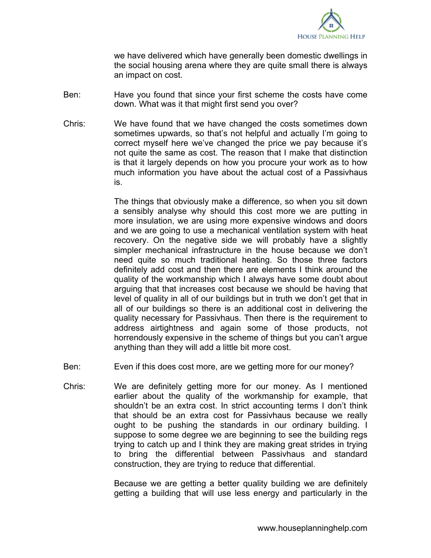

we have delivered which have generally been domestic dwellings in the social housing arena where they are quite small there is always an impact on cost.

- Ben: Have you found that since your first scheme the costs have come down. What was it that might first send you over?
- Chris: We have found that we have changed the costs sometimes down sometimes upwards, so that's not helpful and actually I'm going to correct myself here we've changed the price we pay because it's not quite the same as cost. The reason that I make that distinction is that it largely depends on how you procure your work as to how much information you have about the actual cost of a Passivhaus is.

The things that obviously make a difference, so when you sit down a sensibly analyse why should this cost more we are putting in more insulation, we are using more expensive windows and doors and we are going to use a mechanical ventilation system with heat recovery. On the negative side we will probably have a slightly simpler mechanical infrastructure in the house because we don't need quite so much traditional heating. So those three factors definitely add cost and then there are elements I think around the quality of the workmanship which I always have some doubt about arguing that that increases cost because we should be having that level of quality in all of our buildings but in truth we don't get that in all of our buildings so there is an additional cost in delivering the quality necessary for Passivhaus. Then there is the requirement to address airtightness and again some of those products, not horrendously expensive in the scheme of things but you can't argue anything than they will add a little bit more cost.

- Ben: Even if this does cost more, are we getting more for our money?
- Chris: We are definitely getting more for our money. As I mentioned earlier about the quality of the workmanship for example, that shouldn't be an extra cost. In strict accounting terms I don't think that should be an extra cost for Passivhaus because we really ought to be pushing the standards in our ordinary building. I suppose to some degree we are beginning to see the building regs trying to catch up and I think they are making great strides in trying to bring the differential between Passivhaus and standard construction, they are trying to reduce that differential.

Because we are getting a better quality building we are definitely getting a building that will use less energy and particularly in the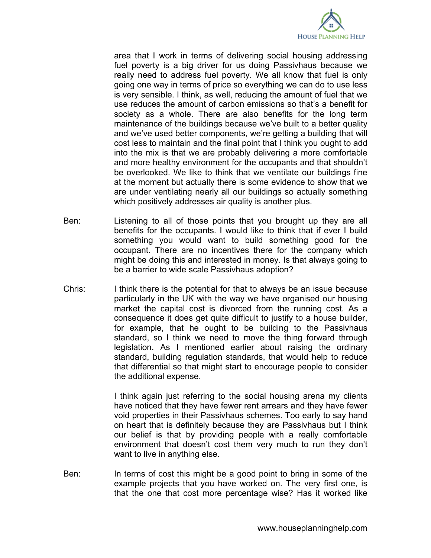

area that I work in terms of delivering social housing addressing fuel poverty is a big driver for us doing Passivhaus because we really need to address fuel poverty. We all know that fuel is only going one way in terms of price so everything we can do to use less is very sensible. I think, as well, reducing the amount of fuel that we use reduces the amount of carbon emissions so that's a benefit for society as a whole. There are also benefits for the long term maintenance of the buildings because we've built to a better quality and we've used better components, we're getting a building that will cost less to maintain and the final point that I think you ought to add into the mix is that we are probably delivering a more comfortable and more healthy environment for the occupants and that shouldn't be overlooked. We like to think that we ventilate our buildings fine at the moment but actually there is some evidence to show that we are under ventilating nearly all our buildings so actually something which positively addresses air quality is another plus.

- Ben: Listening to all of those points that you brought up they are all benefits for the occupants. I would like to think that if ever I build something you would want to build something good for the occupant. There are no incentives there for the company which might be doing this and interested in money. Is that always going to be a barrier to wide scale Passivhaus adoption?
- Chris: I think there is the potential for that to always be an issue because particularly in the UK with the way we have organised our housing market the capital cost is divorced from the running cost. As a consequence it does get quite difficult to justify to a house builder, for example, that he ought to be building to the Passivhaus standard, so I think we need to move the thing forward through legislation. As I mentioned earlier about raising the ordinary standard, building regulation standards, that would help to reduce that differential so that might start to encourage people to consider the additional expense.

I think again just referring to the social housing arena my clients have noticed that they have fewer rent arrears and they have fewer void properties in their Passivhaus schemes. Too early to say hand on heart that is definitely because they are Passivhaus but I think our belief is that by providing people with a really comfortable environment that doesn't cost them very much to run they don't want to live in anything else.

Ben: In terms of cost this might be a good point to bring in some of the example projects that you have worked on. The very first one, is that the one that cost more percentage wise? Has it worked like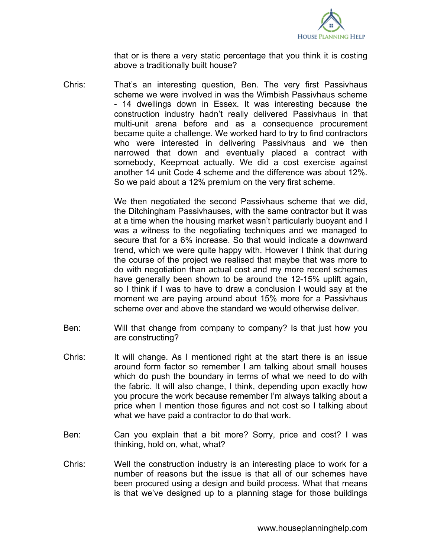

that or is there a very static percentage that you think it is costing above a traditionally built house?

Chris: That's an interesting question, Ben. The very first Passivhaus scheme we were involved in was the Wimbish Passivhaus scheme - 14 dwellings down in Essex. It was interesting because the construction industry hadn't really delivered Passivhaus in that multi-unit arena before and as a consequence procurement became quite a challenge. We worked hard to try to find contractors who were interested in delivering Passivhaus and we then narrowed that down and eventually placed a contract with somebody, Keepmoat actually. We did a cost exercise against another 14 unit Code 4 scheme and the difference was about 12%. So we paid about a 12% premium on the very first scheme.

> We then negotiated the second Passivhaus scheme that we did, the Ditchingham Passivhauses, with the same contractor but it was at a time when the housing market wasn't particularly buoyant and I was a witness to the negotiating techniques and we managed to secure that for a 6% increase. So that would indicate a downward trend, which we were quite happy with. However I think that during the course of the project we realised that maybe that was more to do with negotiation than actual cost and my more recent schemes have generally been shown to be around the 12-15% uplift again, so I think if I was to have to draw a conclusion I would say at the moment we are paying around about 15% more for a Passivhaus scheme over and above the standard we would otherwise deliver.

- Ben: Will that change from company to company? Is that just how you are constructing?
- Chris: It will change. As I mentioned right at the start there is an issue around form factor so remember I am talking about small houses which do push the boundary in terms of what we need to do with the fabric. It will also change, I think, depending upon exactly how you procure the work because remember I'm always talking about a price when I mention those figures and not cost so I talking about what we have paid a contractor to do that work.
- Ben: Can you explain that a bit more? Sorry, price and cost? I was thinking, hold on, what, what?
- Chris: Well the construction industry is an interesting place to work for a number of reasons but the issue is that all of our schemes have been procured using a design and build process. What that means is that we've designed up to a planning stage for those buildings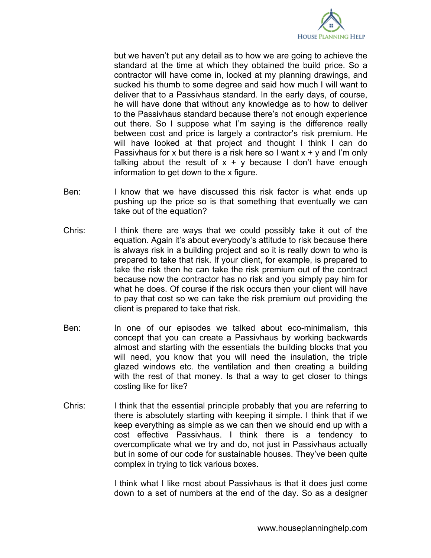

but we haven't put any detail as to how we are going to achieve the standard at the time at which they obtained the build price. So a contractor will have come in, looked at my planning drawings, and sucked his thumb to some degree and said how much I will want to deliver that to a Passivhaus standard. In the early days, of course, he will have done that without any knowledge as to how to deliver to the Passivhaus standard because there's not enough experience out there. So I suppose what I'm saying is the difference really between cost and price is largely a contractor's risk premium. He will have looked at that project and thought I think I can do Passivhaus for x but there is a risk here so I want  $x + y$  and I'm only talking about the result of  $x + y$  because I don't have enough information to get down to the x figure.

- Ben: I know that we have discussed this risk factor is what ends up pushing up the price so is that something that eventually we can take out of the equation?
- Chris: I think there are ways that we could possibly take it out of the equation. Again it's about everybody's attitude to risk because there is always risk in a building project and so it is really down to who is prepared to take that risk. If your client, for example, is prepared to take the risk then he can take the risk premium out of the contract because now the contractor has no risk and you simply pay him for what he does. Of course if the risk occurs then your client will have to pay that cost so we can take the risk premium out providing the client is prepared to take that risk.
- Ben: In one of our episodes we talked about eco-minimalism, this concept that you can create a Passivhaus by working backwards almost and starting with the essentials the building blocks that you will need, you know that you will need the insulation, the triple glazed windows etc. the ventilation and then creating a building with the rest of that money. Is that a way to get closer to things costing like for like?
- Chris: I think that the essential principle probably that you are referring to there is absolutely starting with keeping it simple. I think that if we keep everything as simple as we can then we should end up with a cost effective Passivhaus. I think there is a tendency to overcomplicate what we try and do, not just in Passivhaus actually but in some of our code for sustainable houses. They've been quite complex in trying to tick various boxes.

I think what I like most about Passivhaus is that it does just come down to a set of numbers at the end of the day. So as a designer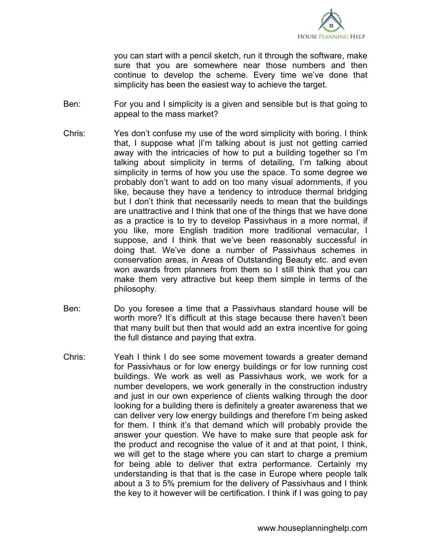

you can start with a pencil sketch, run it through the software, make sure that you are somewhere near those numbers and then continue to develop the scheme. Every time we've done that simplicity has been the easiest way to achieve the target.

- Ben: For you and I simplicity is a given and sensible but is that going to appeal to the mass market?
- Chris: Yes don't confuse my use of the word simplicity with boring. I think that, I suppose what |I'm talking about is just not getting carried away with the intricacies of how to put a building together so I'm talking about simplicity in terms of detailing, I'm talking about simplicity in terms of how you use the space. To some degree we probably don't want to add on too many visual adornments, if you like, because they have a tendency to introduce thermal bridging but I don't think that necessarily needs to mean that the buildings are unattractive and I think that one of the things that we have done as a practice is to try to develop Passivhaus in a more normal, if you like, more English tradition more traditional vernacular, I suppose, and I think that we've been reasonably successful in doing that. We've done a number of Passivhaus schemes in conservation areas, in Areas of Outstanding Beauty etc. and even won awards from planners from them so I still think that you can make them very attractive but keep them simple in terms of the philosophy.
- Ben: Do you foresee a time that a Passivhaus standard house will be worth more? It's difficult at this stage because there haven't been that many built but then that would add an extra incentive for going the full distance and paying that extra.
- Chris: Yeah I think I do see some movement towards a greater demand for Passivhaus or for low energy buildings or for low running cost buildings. We work as well as Passivhaus work, we work for a number developers, we work generally in the construction industry and just in our own experience of clients walking through the door looking for a building there is definitely a greater awareness that we can deliver very low energy buildings and therefore I'm being asked for them. I think it's that demand which will probably provide the answer your question. We have to make sure that people ask for the product and recognise the value of it and at that point, I think, we will get to the stage where you can start to charge a premium for being able to deliver that extra performance. Certainly my understanding is that that is the case in Europe where people talk about a 3 to 5% premium for the delivery of Passivhaus and I think the key to it however will be certification. I think if I was going to pay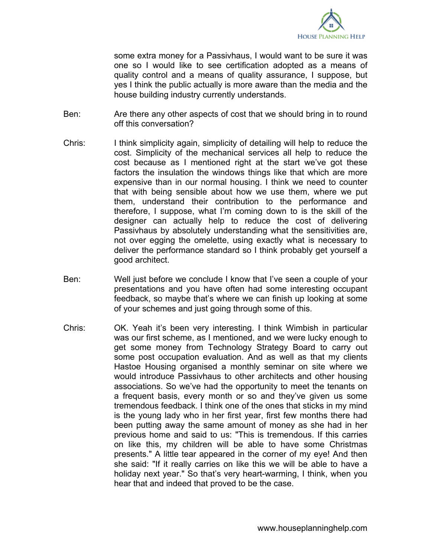

some extra money for a Passivhaus, I would want to be sure it was one so I would like to see certification adopted as a means of quality control and a means of quality assurance, I suppose, but yes I think the public actually is more aware than the media and the house building industry currently understands.

- Ben: Are there any other aspects of cost that we should bring in to round off this conversation?
- Chris: I think simplicity again, simplicity of detailing will help to reduce the cost. Simplicity of the mechanical services all help to reduce the cost because as I mentioned right at the start we've got these factors the insulation the windows things like that which are more expensive than in our normal housing. I think we need to counter that with being sensible about how we use them, where we put them, understand their contribution to the performance and therefore, I suppose, what I'm coming down to is the skill of the designer can actually help to reduce the cost of delivering Passivhaus by absolutely understanding what the sensitivities are, not over egging the omelette, using exactly what is necessary to deliver the performance standard so I think probably get yourself a good architect.
- Ben: Well just before we conclude I know that I've seen a couple of your presentations and you have often had some interesting occupant feedback, so maybe that's where we can finish up looking at some of your schemes and just going through some of this.
- Chris: OK. Yeah it's been very interesting. I think Wimbish in particular was our first scheme, as I mentioned, and we were lucky enough to get some money from Technology Strategy Board to carry out some post occupation evaluation. And as well as that my clients Hastoe Housing organised a monthly seminar on site where we would introduce Passivhaus to other architects and other housing associations. So we've had the opportunity to meet the tenants on a frequent basis, every month or so and they've given us some tremendous feedback. I think one of the ones that sticks in my mind is the young lady who in her first year, first few months there had been putting away the same amount of money as she had in her previous home and said to us: "This is tremendous. If this carries on like this, my children will be able to have some Christmas presents." A little tear appeared in the corner of my eye! And then she said: "If it really carries on like this we will be able to have a holiday next year." So that's very heart-warming, I think, when you hear that and indeed that proved to be the case.